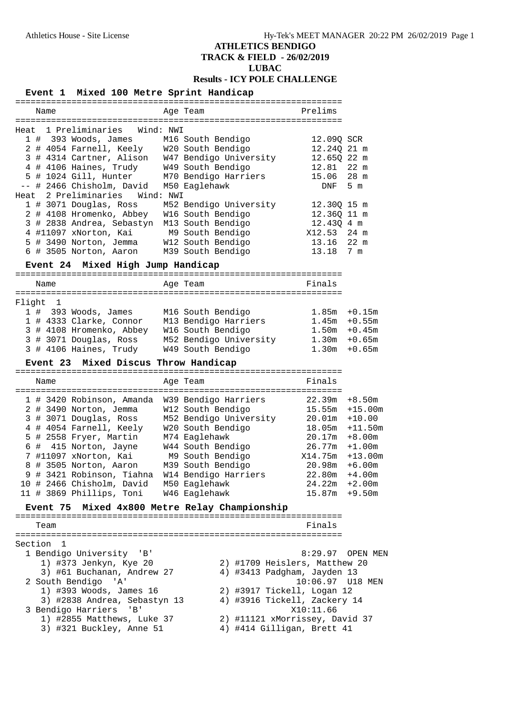# **ATHLETICS BENDIGO TRACK & FIELD - 26/02/2019**

**LUBAC**

**Results - ICY POLE CHALLENGE**

|        |                 | Event 1 Mixed 100 Metre Sprint Handicap                                                    |           |                                                                                             |                                                              |                  |
|--------|-----------------|--------------------------------------------------------------------------------------------|-----------|---------------------------------------------------------------------------------------------|--------------------------------------------------------------|------------------|
|        |                 |                                                                                            |           |                                                                                             |                                                              |                  |
|        | Name            |                                                                                            |           | Age Team                                                                                    | Prelims                                                      |                  |
|        |                 | Heat 1 Preliminaries                                                                       | Wind: NWI |                                                                                             |                                                              |                  |
|        |                 | $1$ # 393 Woods, James                                                                     |           | M16 South Bendigo                                                                           | 12.090 SCR                                                   |                  |
|        |                 | 2 # 4054 Farnell, Keely W20 South Bendigo                                                  |           |                                                                                             | 12.24Q 21 m                                                  |                  |
|        |                 |                                                                                            |           |                                                                                             | 12.65Q 22 m                                                  |                  |
|        |                 |                                                                                            |           | 3 # 4314 Cartner, Alison W47 Bendigo University<br>4 # 4106 Haines, Trudy W49 South Bendigo | 12.81                                                        | $22 \text{ m}$   |
|        |                 | 5 # 1024 Gill, Hunter M70 Bendigo Harriers                                                 |           |                                                                                             | 15.06                                                        | 28 m             |
|        |                 | -- # 2466 Chisholm, David                                                                  |           | M50 Eaglehawk                                                                               | DNF                                                          | 5 m              |
|        |                 | Heat 2 Preliminaries                                                                       | Wind: NWI |                                                                                             |                                                              |                  |
|        |                 | 1 # 3071 Douglas, Ross                                                                     |           | M52 Bendigo University                                                                      | 12.30Q 15 m                                                  |                  |
|        |                 | 2 # 4108 Hromenko, Abbey                                                                   |           | W16 South Bendigo                                                                           | 12.36Q 11 m                                                  |                  |
|        |                 | 3 # 2838 Andrea, Sebastyn                                                                  |           | M13 South Bendigo                                                                           | 12.43Q 4 m                                                   |                  |
|        |                 | 4 #11097 xNorton, Kai                                                                      |           | M9 South Bendigo                                                                            | X12.53 24 m                                                  |                  |
|        |                 | 5 # 3490 Norton, Jemma                                                                     |           | W12 South Bendigo                                                                           | 13.16 22 m                                                   |                  |
|        |                 | 6 # 3505 Norton, Aaron                                                                     |           | M39 South Bendigo                                                                           | 13.18                                                        | 7 m              |
|        |                 | Event 24 Mixed High Jump Handicap                                                          |           |                                                                                             |                                                              |                  |
|        |                 |                                                                                            |           |                                                                                             |                                                              |                  |
|        | Name            |                                                                                            |           | Age Team                                                                                    | Finals                                                       |                  |
| Flight | 1               |                                                                                            |           |                                                                                             |                                                              |                  |
|        |                 | $1$ # 393 Woods, James                                                                     |           | M16 South Bendigo                                                                           |                                                              | $1.85m + 0.15m$  |
|        |                 |                                                                                            |           |                                                                                             | $1.45m + 0.55m$                                              |                  |
|        |                 | 1 # 4333 Clarke, Connor M13 Bendigo Harriers<br>3 # 4108 Hromenko, Abbey W16 South Bendigo |           |                                                                                             |                                                              | $1.50m + 0.45m$  |
|        |                 | t i<br>3 # 3071 Douglas, Ross                                                              |           | M52 Bendigo University                                                                      | $1.30m + 0.65m$                                              |                  |
|        |                 | 3 # 4106 Haines, Trudy                                                                     |           | W49 South Bendigo                                                                           | 1.30m                                                        | $+0.65m$         |
|        |                 | Event 23 Mixed Discus Throw Handicap                                                       |           |                                                                                             |                                                              |                  |
|        |                 |                                                                                            |           |                                                                                             |                                                              |                  |
|        | Name            |                                                                                            |           | Age Team                                                                                    | Finals                                                       |                  |
|        |                 |                                                                                            |           |                                                                                             |                                                              |                  |
|        |                 | 1 # 3420 Robinson, Amanda                                                                  |           | W39 Bendigo Harriers                                                                        | 22.39m                                                       | $+8.50m$         |
|        |                 | 2 # 3490 Norton, Jemma                                                                     |           | W12 South Bendigo                                                                           | 15.55m                                                       | $+15.00m$        |
|        |                 | 3 # 3071 Douglas, Ross                                                                     |           | M52 Bendigo University                                                                      | $20.01m + 10.00$                                             |                  |
|        |                 | 4 # 4054 Farnell, Keely                                                                    |           | W20 South Bendigo                                                                           |                                                              | 18.05m +11.50m   |
|        |                 | 5 # 2558 Fryer, Martin                                                                     |           | M74 Eaglehawk                                                                               | $20.17m + 8.00m$                                             |                  |
|        |                 | 6 # 415 Norton, Jayne                                                                      |           | W44 South Bendigo                                                                           | $26.77m + 1.00m$                                             |                  |
|        |                 | 7 #11097 xNorton, Kai                                                                      |           | M9 South Bendigo                                                                            | X14.75m                                                      | $+13.00m$        |
|        |                 |                                                                                            |           |                                                                                             |                                                              |                  |
|        |                 | 8 # 3505 Norton, Aaron                                                                     |           | M39 South Bendigo                                                                           | 20.98m                                                       | $+6.00m$         |
|        |                 | 9 # 3421 Robinson, Tiahna W14 Bendigo Harriers                                             |           |                                                                                             | $22.80m + 4.00m$                                             |                  |
|        |                 | 10 # 2466 Chisholm, David                                                                  |           | M50 Eaglehawk                                                                               | $24.22m + 2.00m$                                             |                  |
|        |                 | 11 # 3869 Phillips, Toni                                                                   |           | W46 Eaglehawk                                                                               | $15.87m + 9.50m$                                             |                  |
|        | <b>Event 75</b> |                                                                                            |           | Mixed 4x800 Metre Relay Championship                                                        |                                                              |                  |
|        |                 |                                                                                            |           |                                                                                             |                                                              |                  |
|        | Team            |                                                                                            |           |                                                                                             | Finals                                                       |                  |
|        | Section 1       |                                                                                            |           |                                                                                             |                                                              |                  |
|        |                 | 1 Bendigo University<br>'B'                                                                |           |                                                                                             |                                                              | 8:29.97 OPEN MEN |
|        |                 | 1) #373 Jenkyn, Kye 20                                                                     |           |                                                                                             | 2) #1709 Heislers, Matthew 20                                |                  |
|        |                 | 3) #61 Buchanan, Andrew 27                                                                 |           |                                                                                             | 4) #3413 Padgham, Jayden 13                                  |                  |
|        |                 | 2 South Bendigo 'A'                                                                        |           |                                                                                             |                                                              |                  |
|        |                 | 1) #393 Woods, James 16                                                                    |           |                                                                                             | 2) #3917 Tickell, Logan 12                                   |                  |
|        |                 | 3) #2838 Andrea, Sebastyn 13                                                               |           |                                                                                             | 4) #3916 Tickell, Zackery 14                                 |                  |
|        |                 | 3 Bendigo Harriers<br>'B'                                                                  |           |                                                                                             | X10:11.66                                                    |                  |
|        |                 | 1) #2855 Matthews, Luke 37<br>3) #321 Buckley, Anne 51                                     |           |                                                                                             | 2) #11121 xMorrissey, David 37<br>4) #414 Gilligan, Brett 41 |                  |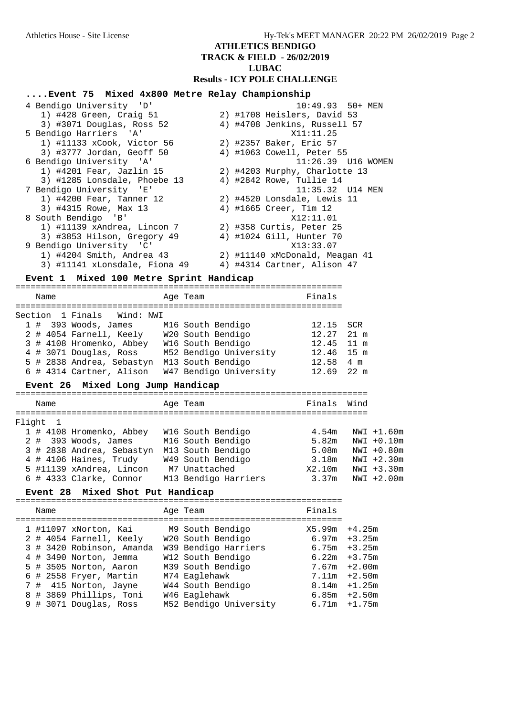### **ATHLETICS BENDIGO**

**TRACK & FIELD - 26/02/2019**

### **LUBAC**

#### **Results - ICY POLE CHALLENGE**

## **....Event 75 Mixed 4x800 Metre Relay Championship**

| 4 Bendigo University 'D'      | $10:49.93$ 50+ MEN             |
|-------------------------------|--------------------------------|
| 1) #428 Green, Craig 51       | 2) #1708 Heislers, David 53    |
| 3) #3071 Douglas, Ross 52     | 4) #4708 Jenkins, Russell 57   |
| 5 Bendigo Harriers 'A'        | X11:11.25                      |
| 1) #11133 xCook, Victor 56    | 2) #2357 Baker, Eric 57        |
| 3) #3777 Jordan, Geoff 50     | 4) #1063 Cowell, Peter 55      |
| 6 Bendigo University 'A'      |                                |
| $1)$ #4201 Fear, Jazlin 15    | 2) #4203 Murphy, Charlotte 13  |
| 3) #1285 Lonsdale, Phoebe 13  | 4) #2842 Rowe, Tullie 14       |
| 7 Bendigo University 'E'      |                                |
| 1) #4200 Fear, Tanner 12      | 2) #4520 Lonsdale, Lewis 11    |
| 3) #4315 Rowe, Max 13         | 4) #1665 Creer, Tim 12         |
| 8 South Bendigo 'B'           | X12:11.01                      |
| 1) #11139 xAndrea, Lincon 7   | 2) #358 Curtis, Peter 25       |
| 3) #3853 Hilson, Gregory 49   | 4) #1024 Gill, Hunter 70       |
| 9 Bendigo University 'C'      | X13:33.07                      |
| 1) #4204 Smith, Andrea 43     | 2) #11140 xMcDonald, Meagan 41 |
| 3) #11141 xLonsdale, Fiona 49 | 4) #4314 Cartner, Alison 47    |

### **Event 1 Mixed 100 Metre Sprint Handicap**

| Brenc I Mixed Too Metre Sprinc Handicap                  |                                   |                        |                |  |
|----------------------------------------------------------|-----------------------------------|------------------------|----------------|--|
| Name                                                     | Age Team                          | Finals                 |                |  |
| Section 1 Finals Wind: NWI                               |                                   |                        |                |  |
| 1 # 393 Woods, James M16 South Bendigo 12.15             |                                   |                        | <b>SCR</b>     |  |
| 2 # 4054 Farnell, Keely     W20 South Bendigo            |                                   | 12.27                  | $21 \text{ m}$ |  |
| 3 # 4108 Hromenko, Abbey W16 South Bendigo 12.45 11 m    |                                   |                        |                |  |
| 4 # 3071 Douglas, Ross M52 Bendigo University 12.46 15 m |                                   |                        |                |  |
| 5 # 2838 Andrea, Sebastyn M13 South Bendigo              |                                   | $12.58$ 4 m            |                |  |
| 6 # 4314 Cartner, Alison                                 | W47 Bendigo University 12.69 22 m |                        |                |  |
| Event 26 Mixed Long Jump Handicap                        |                                   |                        |                |  |
| Name                                                     | Age Team                          | Finals                 | Wind           |  |
| ====================================<br>Fliaht 1         |                                   |                        |                |  |
| 1 # 4108 Hromenko, Abbey W16 South Bendigo               |                                   | 4.54m                  | NWI +1.60m     |  |
| 2 # 393 Woods, James M16 South Bendigo                   |                                   | 5.82m                  | $NWI + 0.10m$  |  |
| 3 # 2838 Andrea, Sebastyn                                | M13 South Bendigo                 | 5.08m    NWI    +0.80m |                |  |
| 4 # 4106 Haines, Trudy 6 M49 South Bendigo 3.18m         |                                   |                        | $NWI + 2.30m$  |  |
| 5 #11139 xAndrea, Lincon M7 Unattached                   |                                   | X2.10m                 | $NWI + 3.30m$  |  |
| 6 # 4333 Clarke, Connor                                  | M13 Bendigo Harriers 3.37m        |                        | $NWI + 2.00m$  |  |

#### **Event 28 Mixed Shot Put Handicap**

================================================================ Name Research Magnetic Age Team Age Team Rinals ================================================================ 1 #11097 xNorton, Kai M9 South Bendigo X5.99m +4.25m 2 # 4054 Farnell, Keely W20 South Bendigo 6.97m +3.25m 3 # 3420 Robinson, Amanda W39 Bendigo Harriers 6.75m +3.25m 4 # 3490 Norton, Jemma W12 South Bendigo 6.22m +3.75m 5 # 3505 Norton, Aaron M39 South Bendigo 7.67m +2.00m 6 # 2558 Fryer, Martin M74 Eaglehawk 7.11m +2.50m 7 # 415 Norton, Jayne W44 South Bendigo 8.14m +1.25m 8 # 3869 Phillips, Toni W46 Eaglehawk 6.85m +2.50m 9 # 3071 Douglas, Ross M52 Bendigo University 6.71m +1.75m